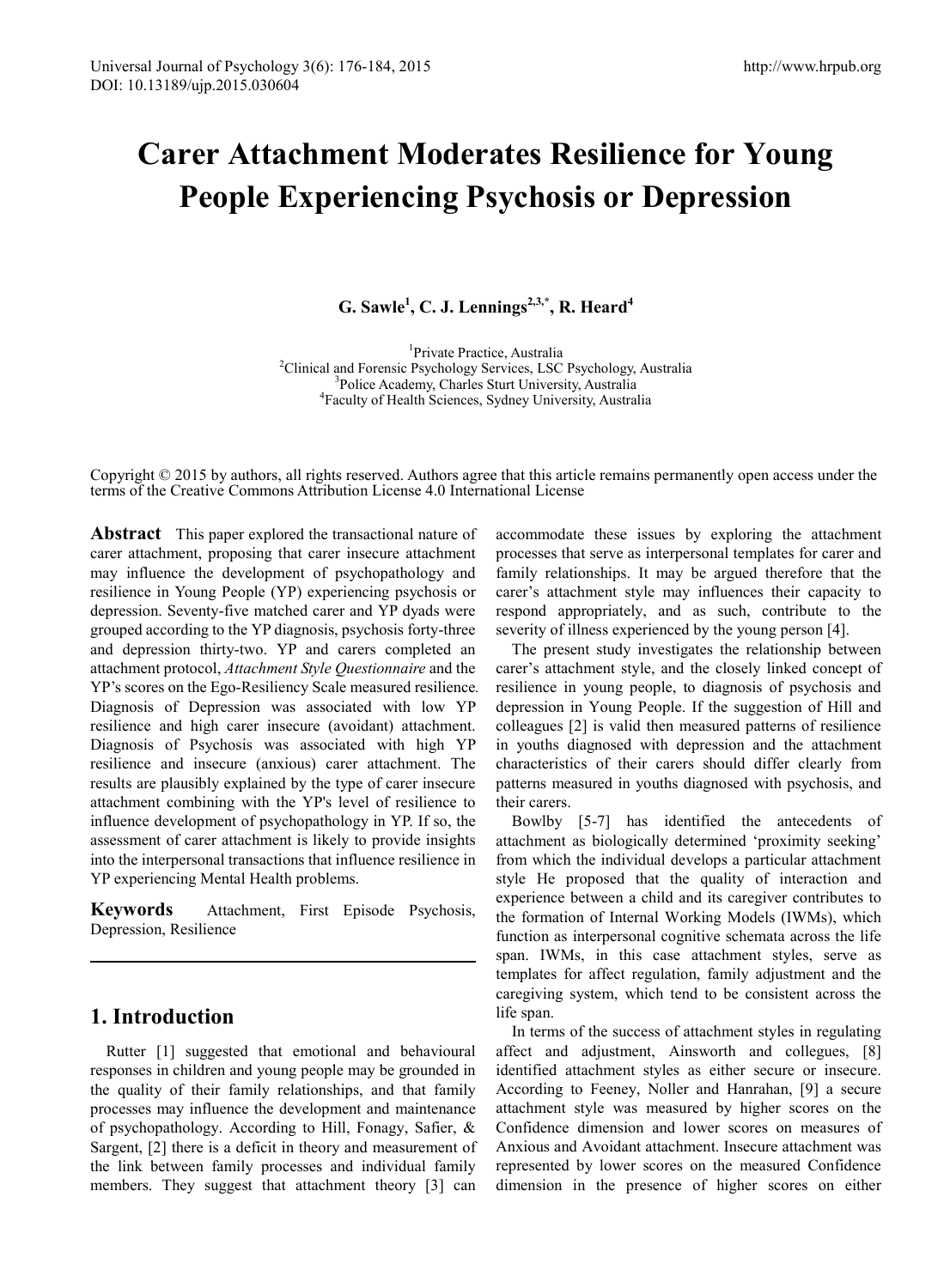# **Carer Attachment Moderates Resilience for Young People Experiencing Psychosis or Depression**

**G. Sawle<sup>1</sup> , C. J. Lennings2,3,\* , R. Heard4**

<sup>1</sup>Private Practice, Australia <sup>1</sup>Private Practice, Australia<sup>2</sup>Clinical and Ecropsic Psychology Services, LSC Clinical and Forensic Psychology Services, LSC Psychology, Australia <sup>3</sup> <sup>3</sup>Police Academy, Charles Sturt University, Australia Faculty of Health Sciences, Sydney University, Australia

Copyright © 2015 by authors, all rights reserved. Authors agree that this article remains permanently open access under the terms of the Creative Commons Attribution License 4.0 International License

**Abstract** This paper explored the transactional nature of carer attachment, proposing that carer insecure attachment may influence the development of psychopathology and resilience in Young People (YP) experiencing psychosis or depression. Seventy-five matched carer and YP dyads were grouped according to the YP diagnosis, psychosis forty-three and depression thirty-two. YP and carers completed an attachment protocol, *Attachment Style Questionnaire* and the YP's scores on the Ego-Resiliency Scale measured resilience*.* Diagnosis of Depression was associated with low YP resilience and high carer insecure (avoidant) attachment. Diagnosis of Psychosis was associated with high YP resilience and insecure (anxious) carer attachment. The results are plausibly explained by the type of carer insecure attachment combining with the YP's level of resilience to influence development of psychopathology in YP. If so, the assessment of carer attachment is likely to provide insights into the interpersonal transactions that influence resilience in YP experiencing Mental Health problems.

**Keywords** Attachment, First Episode Psychosis, Depression, Resilience

# **1. Introduction**

Rutter [1] suggested that emotional and behavioural responses in children and young people may be grounded in the quality of their family relationships, and that family processes may influence the development and maintenance of psychopathology. According to Hill, Fonagy, Safier, & Sargent, [2] there is a deficit in theory and measurement of the link between family processes and individual family members. They suggest that attachment theory [3] can

accommodate these issues by exploring the attachment processes that serve as interpersonal templates for carer and family relationships. It may be argued therefore that the carer's attachment style may influences their capacity to respond appropriately, and as such, contribute to the severity of illness experienced by the young person [4].

The present study investigates the relationship between carer's attachment style, and the closely linked concept of resilience in young people, to diagnosis of psychosis and depression in Young People. If the suggestion of Hill and colleagues [2] is valid then measured patterns of resilience in youths diagnosed with depression and the attachment characteristics of their carers should differ clearly from patterns measured in youths diagnosed with psychosis, and their carers.

Bowlby [5-7] has identified the antecedents of attachment as biologically determined 'proximity seeking' from which the individual develops a particular attachment style He proposed that the quality of interaction and experience between a child and its caregiver contributes to the formation of Internal Working Models (IWMs), which function as interpersonal cognitive schemata across the life span. IWMs, in this case attachment styles, serve as templates for affect regulation, family adjustment and the caregiving system, which tend to be consistent across the life span.

In terms of the success of attachment styles in regulating affect and adjustment, Ainsworth and collegues, [8] identified attachment styles as either secure or insecure. According to Feeney, Noller and Hanrahan, [9] a secure attachment style was measured by higher scores on the Confidence dimension and lower scores on measures of Anxious and Avoidant attachment. Insecure attachment was represented by lower scores on the measured Confidence dimension in the presence of higher scores on either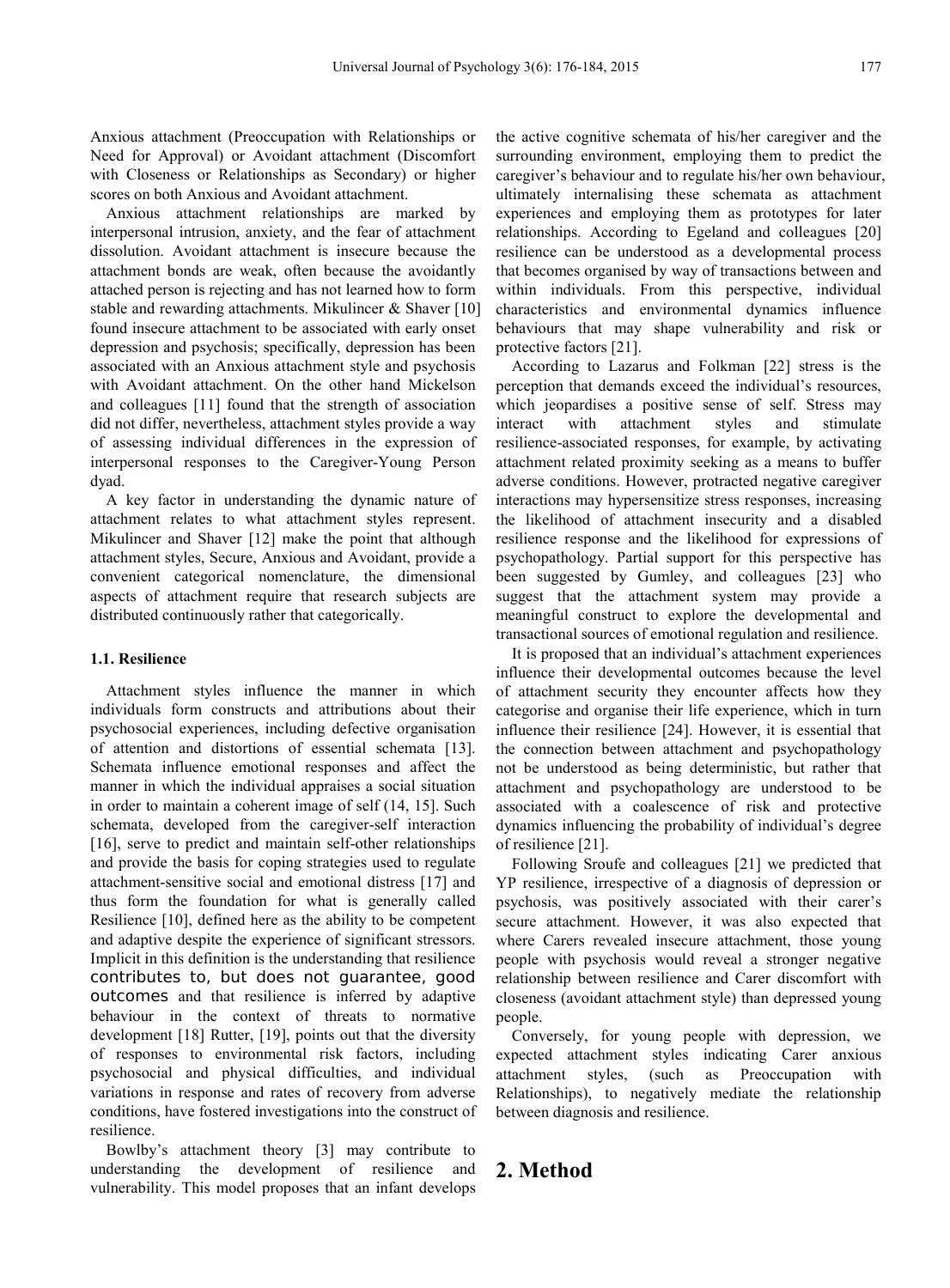Anxious attachment (Preoccupation with Relationships or Need for Approval) or Avoidant attachment (Discomfort with Closeness or Relationships as Secondary) or higher scores on both Anxious and Avoidant attachment.

Anxious attachment relationships are marked by interpersonal intrusion, anxiety, and the fear of attachment dissolution. Avoidant attachment is insecure because the attachment bonds are weak, often because the avoidantly attached person is rejecting and has not learned how to form stable and rewarding attachments. Mikulincer & Shaver [10] found insecure attachment to be associated with early onset depression and psychosis; specifically, depression has been associated with an Anxious attachment style and psychosis with Avoidant attachment. On the other hand Mickelson and colleagues [11] found that the strength of association did not differ, nevertheless, attachment styles provide a way of assessing individual differences in the expression of interpersonal responses to the Caregiver-Young Person dyad.

A key factor in understanding the dynamic nature of attachment relates to what attachment styles represent. Mikulincer and Shaver [12] make the point that although attachment styles, Secure, Anxious and Avoidant, provide a convenient categorical nomenclature, the dimensional aspects of attachment require that research subjects are distributed continuously rather that categorically.

#### **1.1. Resilience**

Attachment styles influence the manner in which individuals form constructs and attributions about their psychosocial experiences, including defective organisation of attention and distortions of essential schemata [13]. Schemata influence emotional responses and affect the manner in which the individual appraises a social situation in order to maintain a coherent image of self (14, 15]. Such schemata, developed from the caregiver-self interaction [16], serve to predict and maintain self-other relationships and provide the basis for coping strategies used to regulate attachment-sensitive social and emotional distress [17] and thus form the foundation for what is generally called Resilience [10], defined here as the ability to be competent and adaptive despite the experience of significant stressors. Implicit in this definition is the understanding that resilience contributes to, but does not guarantee, good outcomes and that resilience is inferred by adaptive behaviour in the context of threats to normative development [18] Rutter, [19], points out that the diversity of responses to environmental risk factors, including psychosocial and physical difficulties, and individual variations in response and rates of recovery from adverse conditions, have fostered investigations into the construct of resilience.

Bowlby's attachment theory [3] may contribute to understanding the development of resilience and vulnerability. This model proposes that an infant develops

the active cognitive schemata of his/her caregiver and the surrounding environment, employing them to predict the caregiver's behaviour and to regulate his/her own behaviour, ultimately internalising these schemata as attachment experiences and employing them as prototypes for later relationships. According to Egeland and colleagues [20] resilience can be understood as a developmental process that becomes organised by way of transactions between and within individuals. From this perspective, individual characteristics and environmental dynamics influence behaviours that may shape vulnerability and risk or protective factors [21].

According to Lazarus and Folkman [22] stress is the perception that demands exceed the individual's resources, which jeopardises a positive sense of self. Stress may interact with attachment styles and stimulate resilience-associated responses, for example, by activating attachment related proximity seeking as a means to buffer adverse conditions. However, protracted negative caregiver interactions may hypersensitize stress responses, increasing the likelihood of attachment insecurity and a disabled resilience response and the likelihood for expressions of psychopathology. Partial support for this perspective has been suggested by Gumley, and colleagues [23] who suggest that the attachment system may provide a meaningful construct to explore the developmental and transactional sources of emotional regulation and resilience.

It is proposed that an individual's attachment experiences influence their developmental outcomes because the level of attachment security they encounter affects how they categorise and organise their life experience, which in turn influence their resilience [24]. However, it is essential that the connection between attachment and psychopathology not be understood as being deterministic, but rather that attachment and psychopathology are understood to be associated with a coalescence of risk and protective dynamics influencing the probability of individual's degree of resilience [21].

Following Sroufe and colleagues [21] we predicted that YP resilience, irrespective of a diagnosis of depression or psychosis, was positively associated with their carer's secure attachment. However, it was also expected that where Carers revealed insecure attachment, those young people with psychosis would reveal a stronger negative relationship between resilience and Carer discomfort with closeness (avoidant attachment style) than depressed young people.

Conversely, for young people with depression, we expected attachment styles indicating Carer anxious attachment styles, (such as Preoccupation with Relationships), to negatively mediate the relationship between diagnosis and resilience.

# **2. Method**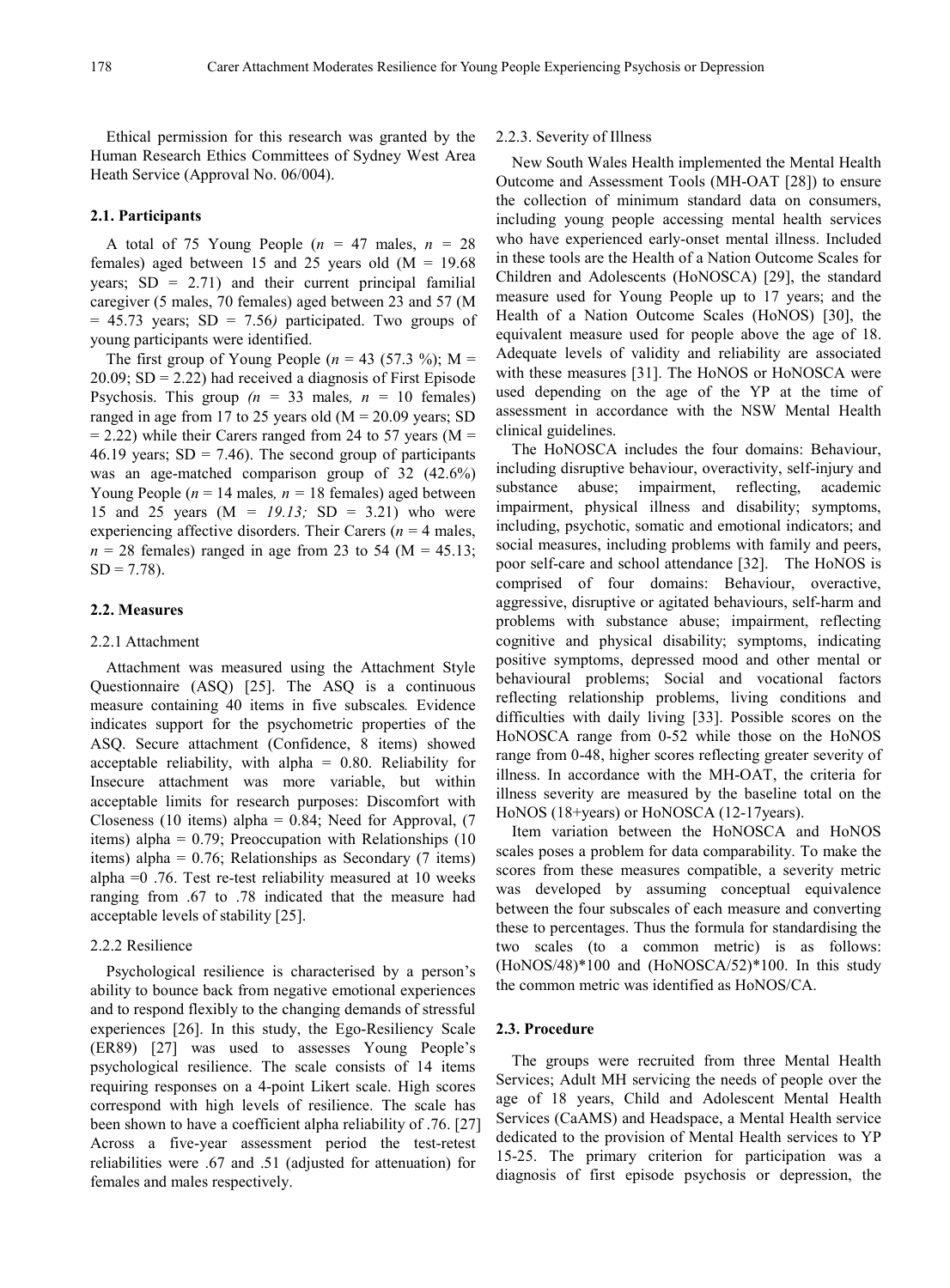Ethical permission for this research was granted by the Human Research Ethics Committees of Sydney West Area Heath Service (Approval No. 06/004).

#### **2.1. Participants**

A total of 75 Young People ( $n = 47$  males,  $n = 28$ ) females) aged between 15 and 25 years old  $(M = 19.68)$ years;  $SD = 2.71$ ) and their current principal familial caregiver (5 males, 70 females) aged between 23 and 57 (M = 45.73 years; SD = 7.56*)* participated. Two groups of young participants were identified.

The first group of Young People ( $n = 43$  (57.3 %); M =  $20.09$ ; SD = 2.22) had received a diagnosis of First Episode Psychosis. This group  $(n = 33 \text{ males}, n = 10 \text{ females})$ ranged in age from 17 to 25 years old  $(M = 20.09$  years; SD  $= 2.22$ ) while their Carers ranged from 24 to 57 years (M  $=$ 46.19 years;  $SD = 7.46$ ). The second group of participants was an age-matched comparison group of 32 (42.6%) Young People ( $n = 14$  males,  $n = 18$  females) aged between 15 and 25 years (M *= 19.13;* SD = 3.21) who were experiencing affective disorders. Their Carers  $(n = 4$  males,  $n = 28$  females) ranged in age from 23 to 54 (M = 45.13;  $SD = 7.78$ ).

#### **2.2. Measures**

#### 2.2.1 Attachment

Attachment was measured using the Attachment Style Questionnaire (ASQ) [25]. The ASQ is a continuous measure containing 40 items in five subscales*.* Evidence indicates support for the psychometric properties of the ASQ. Secure attachment (Confidence, 8 items) showed acceptable reliability, with alpha  $= 0.80$ . Reliability for Insecure attachment was more variable, but within acceptable limits for research purposes: Discomfort with Closeness (10 items) alpha =  $0.84$ ; Need for Approval, (7) items) alpha =  $0.79$ ; Preoccupation with Relationships (10) items) alpha = 0.76; Relationships as Secondary (7 items) alpha =0 .76. Test re-test reliability measured at 10 weeks ranging from .67 to .78 indicated that the measure had acceptable levels of stability [25].

## 2.2.2 Resilience

Psychological resilience is characterised by a person's ability to bounce back from negative emotional experiences and to respond flexibly to the changing demands of stressful experiences [26]. In this study, the Ego-Resiliency Scale (ER89) [27] was used to assesses Young People's psychological resilience. The scale consists of 14 items requiring responses on a 4-point Likert scale. High scores correspond with high levels of resilience. The scale has been shown to have a coefficient alpha reliability of .76. [27] Across a five-year assessment period the test-retest reliabilities were .67 and .51 (adjusted for attenuation) for females and males respectively.

## 2.2.3. Severity of Illness

New South Wales Health implemented the Mental Health Outcome and Assessment Tools (MH-OAT [28]) to ensure the collection of minimum standard data on consumers, including young people accessing mental health services who have experienced early-onset mental illness. Included in these tools are the Health of a Nation Outcome Scales for Children and Adolescents (HoNOSCA) [29], the standard measure used for Young People up to 17 years; and the Health of a Nation Outcome Scales (HoNOS) [30], the equivalent measure used for people above the age of 18. Adequate levels of validity and reliability are associated with these measures [31]. The HoNOS or HoNOSCA were used depending on the age of the YP at the time of assessment in accordance with the NSW Mental Health clinical guidelines.

The HoNOSCA includes the four domains: Behaviour, including disruptive behaviour, overactivity, self-injury and substance abuse; impairment, reflecting, academic impairment, physical illness and disability; symptoms, including, psychotic, somatic and emotional indicators; and social measures, including problems with family and peers, poor self-care and school attendance [32]. The HoNOS is comprised of four domains: Behaviour, overactive, aggressive, disruptive or agitated behaviours, self-harm and problems with substance abuse; impairment, reflecting cognitive and physical disability; symptoms, indicating positive symptoms, depressed mood and other mental or behavioural problems; Social and vocational factors reflecting relationship problems, living conditions and difficulties with daily living [33]. Possible scores on the HoNOSCA range from 0-52 while those on the HoNOS range from 0-48, higher scores reflecting greater severity of illness. In accordance with the MH-OAT, the criteria for illness severity are measured by the baseline total on the HoNOS (18+years) or HoNOSCA (12-17years).

Item variation between the HoNOSCA and HoNOS scales poses a problem for data comparability. To make the scores from these measures compatible, a severity metric was developed by assuming conceptual equivalence between the four subscales of each measure and converting these to percentages. Thus the formula for standardising the two scales (to a common metric) is as follows: (HoNOS/48)\*100 and (HoNOSCA/52)\*100. In this study the common metric was identified as HoNOS/CA.

#### **2.3. Procedure**

The groups were recruited from three Mental Health Services; Adult MH servicing the needs of people over the age of 18 years, Child and Adolescent Mental Health Services (CaAMS) and Headspace, a Mental Health service dedicated to the provision of Mental Health services to YP 15-25. The primary criterion for participation was a diagnosis of first episode psychosis or depression, the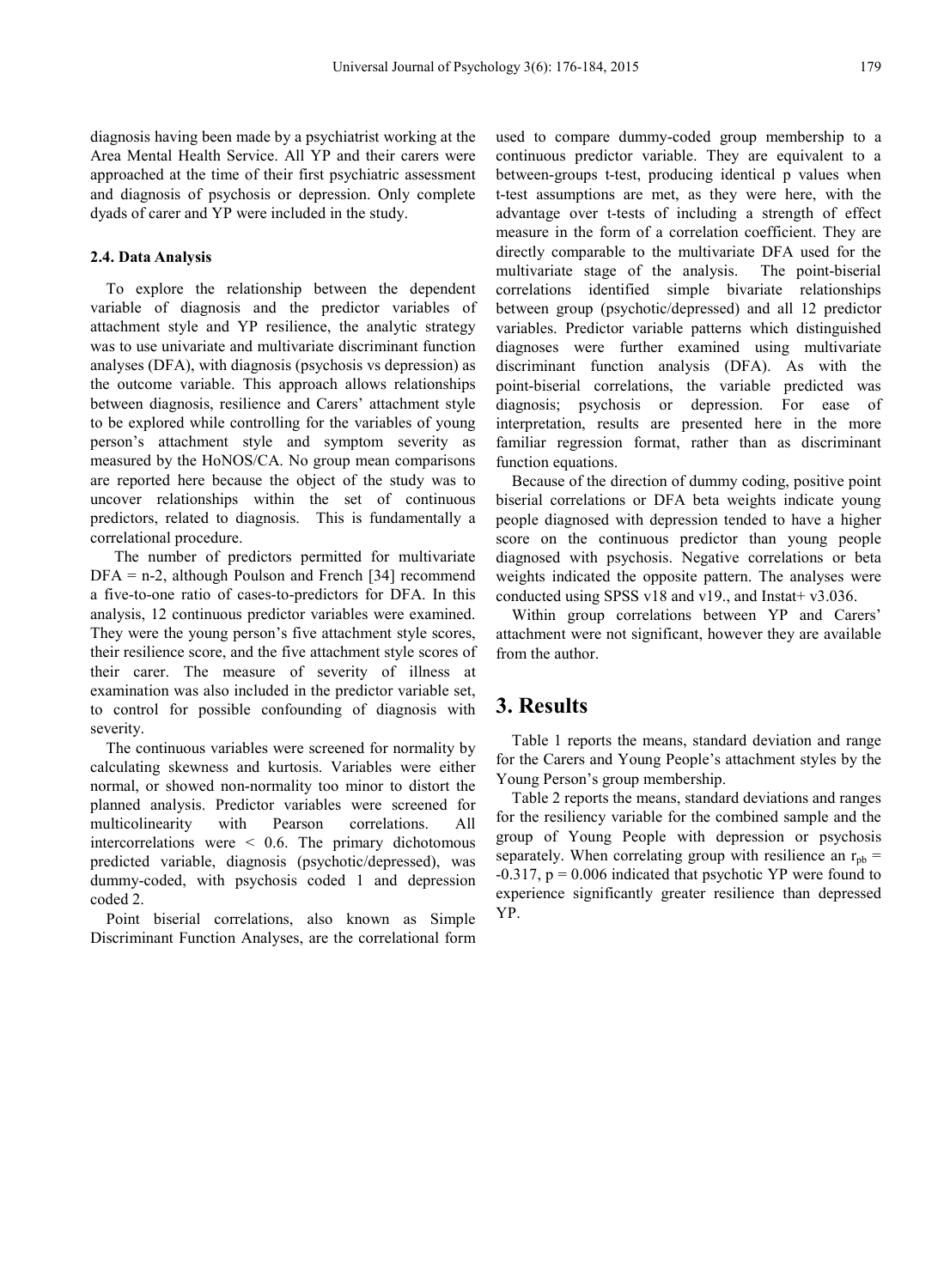diagnosis having been made by a psychiatrist working at the Area Mental Health Service. All YP and their carers were approached at the time of their first psychiatric assessment and diagnosis of psychosis or depression. Only complete dyads of carer and YP were included in the study.

## **2.4. Data Analysis**

To explore the relationship between the dependent variable of diagnosis and the predictor variables of attachment style and YP resilience, the analytic strategy was to use univariate and multivariate discriminant function analyses (DFA), with diagnosis (psychosis vs depression) as the outcome variable. This approach allows relationships between diagnosis, resilience and Carers' attachment style to be explored while controlling for the variables of young person's attachment style and symptom severity as measured by the HoNOS/CA. No group mean comparisons are reported here because the object of the study was to uncover relationships within the set of continuous predictors, related to diagnosis. This is fundamentally a correlational procedure.

The number of predictors permitted for multivariate  $DFA = n-2$ , although Poulson and French [34] recommend a five-to-one ratio of cases-to-predictors for DFA. In this analysis, 12 continuous predictor variables were examined. They were the young person's five attachment style scores, their resilience score, and the five attachment style scores of their carer. The measure of severity of illness at examination was also included in the predictor variable set, to control for possible confounding of diagnosis with severity.

The continuous variables were screened for normality by calculating skewness and kurtosis. Variables were either normal, or showed non-normality too minor to distort the planned analysis. Predictor variables were screened for multicolinearity with Pearson correlations. All intercorrelations were < 0.6. The primary dichotomous predicted variable, diagnosis (psychotic/depressed), was dummy-coded, with psychosis coded 1 and depression coded 2.

Point biserial correlations, also known as Simple Discriminant Function Analyses, are the correlational form

used to compare dummy-coded group membership to a continuous predictor variable. They are equivalent to a between-groups t-test, producing identical p values when t-test assumptions are met, as they were here, with the advantage over t-tests of including a strength of effect measure in the form of a correlation coefficient. They are directly comparable to the multivariate DFA used for the multivariate stage of the analysis. The point-biserial correlations identified simple bivariate relationships between group (psychotic/depressed) and all 12 predictor variables. Predictor variable patterns which distinguished diagnoses were further examined using multivariate discriminant function analysis (DFA). As with the point-biserial correlations, the variable predicted was diagnosis; psychosis or depression. For ease of interpretation, results are presented here in the more familiar regression format, rather than as discriminant function equations.

Because of the direction of dummy coding, positive point biserial correlations or DFA beta weights indicate young people diagnosed with depression tended to have a higher score on the continuous predictor than young people diagnosed with psychosis. Negative correlations or beta weights indicated the opposite pattern. The analyses were conducted using SPSS v18 and v19., and Instat +  $v3.036$ .

Within group correlations between YP and Carers' attachment were not significant, however they are available from the author.

## **3. Results**

Table 1 reports the means, standard deviation and range for the Carers and Young People's attachment styles by the Young Person's group membership.

Table 2 reports the means, standard deviations and ranges for the resiliency variable for the combined sample and the group of Young People with depression or psychosis separately. When correlating group with resilience an  $r_{\text{nb}}$  =  $-0.317$ ,  $p = 0.006$  indicated that psychotic YP were found to experience significantly greater resilience than depressed YP.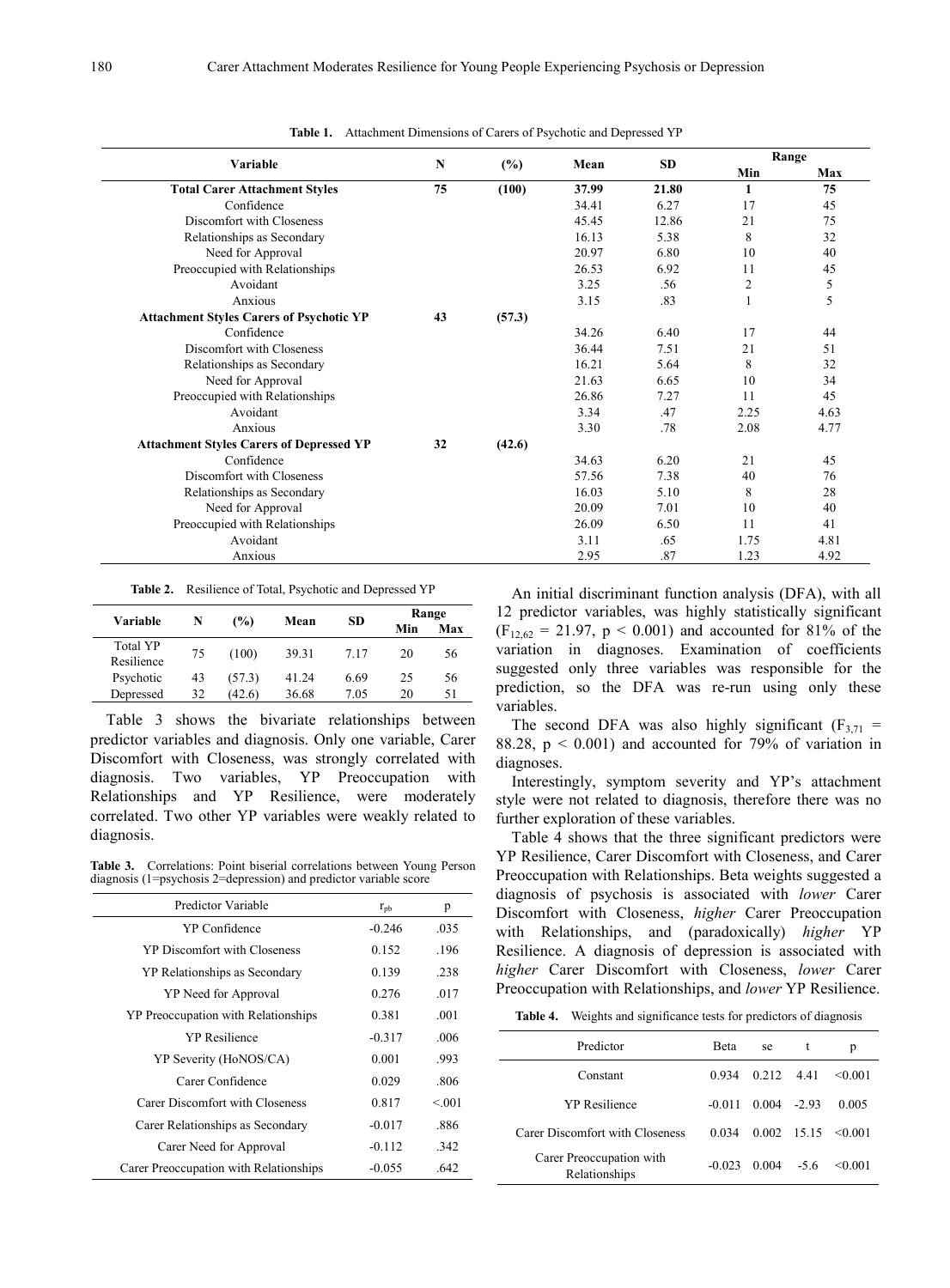| Variable                                        | N  | (%)    | Mean  | <b>SD</b> | Range        |      |
|-------------------------------------------------|----|--------|-------|-----------|--------------|------|
|                                                 |    |        |       |           | Min          | Max  |
| <b>Total Carer Attachment Styles</b>            | 75 | (100)  | 37.99 | 21.80     | $\mathbf{1}$ | 75   |
| Confidence                                      |    |        | 34.41 | 6.27      | 17           | 45   |
| Discomfort with Closeness                       |    |        | 45.45 | 12.86     | 21           | 75   |
| Relationships as Secondary                      |    |        | 16.13 | 5.38      | 8            | 32   |
| Need for Approval                               |    |        | 20.97 | 6.80      | 10           | 40   |
| Preoccupied with Relationships                  |    |        | 26.53 | 6.92      | 11           | 45   |
| Avoidant                                        |    |        | 3.25  | .56       | 2            | 5    |
| Anxious                                         |    |        | 3.15  | .83       |              | 5    |
| <b>Attachment Styles Carers of Psychotic YP</b> | 43 | (57.3) |       |           |              |      |
| Confidence                                      |    |        | 34.26 | 6.40      | 17           | 44   |
| Discomfort with Closeness                       |    |        | 36.44 | 7.51      | 21           | 51   |
| Relationships as Secondary                      |    |        | 16.21 | 5.64      | 8            | 32   |
| Need for Approval                               |    |        | 21.63 | 6.65      | 10           | 34   |
| Preoccupied with Relationships                  |    |        | 26.86 | 7.27      | 11           | 45   |
| Avoidant                                        |    |        | 3.34  | .47       | 2.25         | 4.63 |
| Anxious                                         |    |        | 3.30  | .78       | 2.08         | 4.77 |
| <b>Attachment Styles Carers of Depressed YP</b> | 32 | (42.6) |       |           |              |      |
| Confidence                                      |    |        | 34.63 | 6.20      | 21           | 45   |
| Discomfort with Closeness                       |    |        | 57.56 | 7.38      | 40           | 76   |
| Relationships as Secondary                      |    |        | 16.03 | 5.10      | 8            | 28   |
| Need for Approval                               |    |        | 20.09 | 7.01      | 10           | 40   |
| Preoccupied with Relationships                  |    |        | 26.09 | 6.50      | 11           | 41   |
| Avoidant                                        |    |        | 3.11  | .65       | 1.75         | 4.81 |
| Anxious                                         |    |        | 2.95  | .87       | 1.23         | 4.92 |

**Table 1.** Attachment Dimensions of Carers of Psychotic and Depressed YP

|  | Table 2. Resilience of Total, Psychotic and Depressed YP |  |  |  |
|--|----------------------------------------------------------|--|--|--|
|--|----------------------------------------------------------|--|--|--|

| Variable                      | N  | (%)    | Mean  |      | Range |     |
|-------------------------------|----|--------|-------|------|-------|-----|
|                               |    |        |       | SD.  | Min   | Max |
| <b>Total YP</b><br>Resilience | 75 | (100)  | 39.31 | 7.17 | 20    | 56  |
| Psychotic                     | 43 | (57.3) | 41.24 | 6.69 | 25    | 56  |
| Depressed                     | 32 | (42.6) | 36.68 | 7.05 | 20    | 51  |

Table 3 shows the bivariate relationships between predictor variables and diagnosis. Only one variable, Carer Discomfort with Closeness, was strongly correlated with diagnosis. Two variables, YP Preoccupation with Relationships and YP Resilience, were moderately correlated. Two other YP variables were weakly related to diagnosis.

**Table 3.** Correlations: Point biserial correlations between Young Person diagnosis (1=psychosis 2=depression) and predictor variable score

| $r_{\rm pb}$ | p      |
|--------------|--------|
| $-0.246$     | .035   |
| 0.152        | .196   |
| 0.139        | .238   |
| 0.276        | .017   |
| 0.381        | .001   |
| $-0.317$     | .006   |
| 0.001        | .993   |
| 0.029        | .806   |
| 0.817        | < 0.01 |
| $-0.017$     | .886   |
| $-0.112$     | .342   |
| $-0.055$     | .642   |
|              |        |

An initial discriminant function analysis (DFA), with all 12 predictor variables, was highly statistically significant  $(F_{12,62} = 21.97, p \le 0.001)$  and accounted for 81% of the variation in diagnoses. Examination of coefficients suggested only three variables was responsible for the prediction, so the DFA was re-run using only these variables.

The second DFA was also highly significant  $(F_{3,71} =$ 88.28,  $p < 0.001$ ) and accounted for 79% of variation in diagnoses.

Interestingly, symptom severity and YP's attachment style were not related to diagnosis, therefore there was no further exploration of these variables.

Table 4 shows that the three significant predictors were YP Resilience, Carer Discomfort with Closeness, and Carer Preoccupation with Relationships. Beta weights suggested a diagnosis of psychosis is associated with *lower* Carer Discomfort with Closeness, *higher* Carer Preoccupation with Relationships, and (paradoxically) *higher* YP Resilience. A diagnosis of depression is associated with *higher* Carer Discomfort with Closeness, *lower* Carer Preoccupation with Relationships, and *lower* YP Resilience.

**Table 4.** Weights and significance tests for predictors of diagnosis

| Predictor                                 | <b>Beta</b> | se                 | t                   | р         |
|-------------------------------------------|-------------|--------------------|---------------------|-----------|
| Constant                                  | 0.934       | $0.212 \quad 4.41$ |                     | < 0.001   |
| <b>YP</b> Resilience                      | $-0.011$    | 0.004              | $-2.93$             | 0.005     |
| Carer Discomfort with Closeness           | 0.034       |                    | $0.002 \quad 15.15$ | < 0.001   |
| Carer Preoccupation with<br>Relationships | $-0.023$    | 0.004              | $-5.6$              | $<$ 0.001 |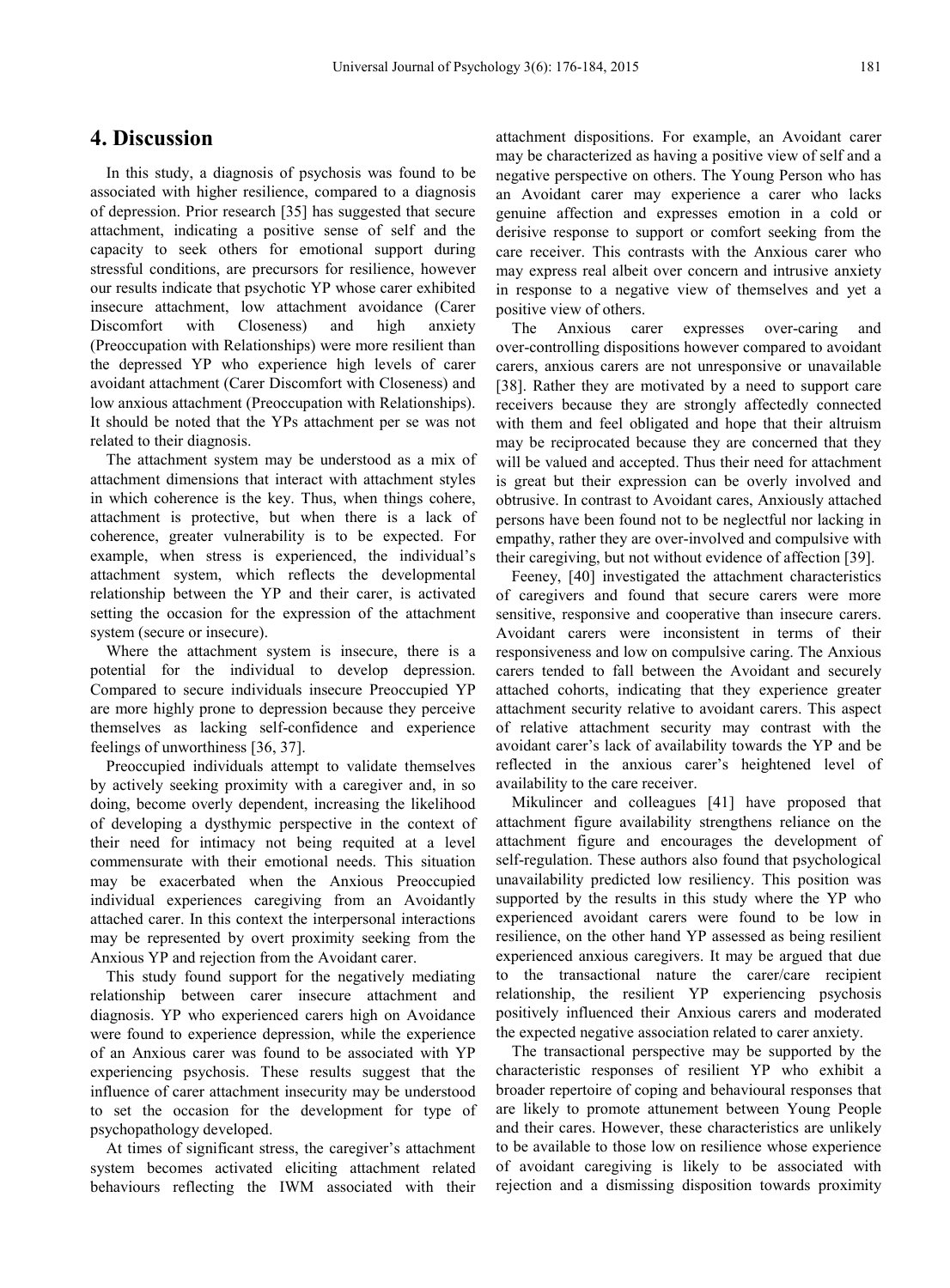## **4. Discussion**

In this study, a diagnosis of psychosis was found to be associated with higher resilience, compared to a diagnosis of depression. Prior research [35] has suggested that secure attachment, indicating a positive sense of self and the capacity to seek others for emotional support during stressful conditions, are precursors for resilience, however our results indicate that psychotic YP whose carer exhibited insecure attachment, low attachment avoidance (Carer Discomfort with Closeness) and high anxiety (Preoccupation with Relationships) were more resilient than the depressed YP who experience high levels of carer avoidant attachment (Carer Discomfort with Closeness) and low anxious attachment (Preoccupation with Relationships). It should be noted that the YPs attachment per se was not related to their diagnosis.

The attachment system may be understood as a mix of attachment dimensions that interact with attachment styles in which coherence is the key. Thus, when things cohere, attachment is protective, but when there is a lack of coherence, greater vulnerability is to be expected. For example, when stress is experienced, the individual's attachment system, which reflects the developmental relationship between the YP and their carer, is activated setting the occasion for the expression of the attachment system (secure or insecure).

Where the attachment system is insecure, there is a potential for the individual to develop depression. Compared to secure individuals insecure Preoccupied YP are more highly prone to depression because they perceive themselves as lacking self-confidence and experience feelings of unworthiness [36, 37].

Preoccupied individuals attempt to validate themselves by actively seeking proximity with a caregiver and, in so doing, become overly dependent, increasing the likelihood of developing a dysthymic perspective in the context of their need for intimacy not being requited at a level commensurate with their emotional needs. This situation may be exacerbated when the Anxious Preoccupied individual experiences caregiving from an Avoidantly attached carer. In this context the interpersonal interactions may be represented by overt proximity seeking from the Anxious YP and rejection from the Avoidant carer.

This study found support for the negatively mediating relationship between carer insecure attachment and diagnosis. YP who experienced carers high on Avoidance were found to experience depression, while the experience of an Anxious carer was found to be associated with YP experiencing psychosis. These results suggest that the influence of carer attachment insecurity may be understood to set the occasion for the development for type of psychopathology developed.

At times of significant stress, the caregiver's attachment system becomes activated eliciting attachment related behaviours reflecting the IWM associated with their

attachment dispositions. For example, an Avoidant carer may be characterized as having a positive view of self and a negative perspective on others. The Young Person who has an Avoidant carer may experience a carer who lacks genuine affection and expresses emotion in a cold or derisive response to support or comfort seeking from the care receiver. This contrasts with the Anxious carer who may express real albeit over concern and intrusive anxiety in response to a negative view of themselves and yet a positive view of others.

The Anxious carer expresses over-caring and over-controlling dispositions however compared to avoidant carers, anxious carers are not unresponsive or unavailable [38]. Rather they are motivated by a need to support care receivers because they are strongly affectedly connected with them and feel obligated and hope that their altruism may be reciprocated because they are concerned that they will be valued and accepted. Thus their need for attachment is great but their expression can be overly involved and obtrusive. In contrast to Avoidant cares, Anxiously attached persons have been found not to be neglectful nor lacking in empathy, rather they are over-involved and compulsive with their caregiving, but not without evidence of affection [39].

Feeney, [40] investigated the attachment characteristics of caregivers and found that secure carers were more sensitive, responsive and cooperative than insecure carers. Avoidant carers were inconsistent in terms of their responsiveness and low on compulsive caring. The Anxious carers tended to fall between the Avoidant and securely attached cohorts, indicating that they experience greater attachment security relative to avoidant carers. This aspect of relative attachment security may contrast with the avoidant carer's lack of availability towards the YP and be reflected in the anxious carer's heightened level of availability to the care receiver.

Mikulincer and colleagues [41] have proposed that attachment figure availability strengthens reliance on the attachment figure and encourages the development of self-regulation. These authors also found that psychological unavailability predicted low resiliency. This position was supported by the results in this study where the YP who experienced avoidant carers were found to be low in resilience, on the other hand YP assessed as being resilient experienced anxious caregivers. It may be argued that due to the transactional nature the carer/care recipient relationship, the resilient YP experiencing psychosis positively influenced their Anxious carers and moderated the expected negative association related to carer anxiety.

The transactional perspective may be supported by the characteristic responses of resilient YP who exhibit a broader repertoire of coping and behavioural responses that are likely to promote attunement between Young People and their cares. However, these characteristics are unlikely to be available to those low on resilience whose experience of avoidant caregiving is likely to be associated with rejection and a dismissing disposition towards proximity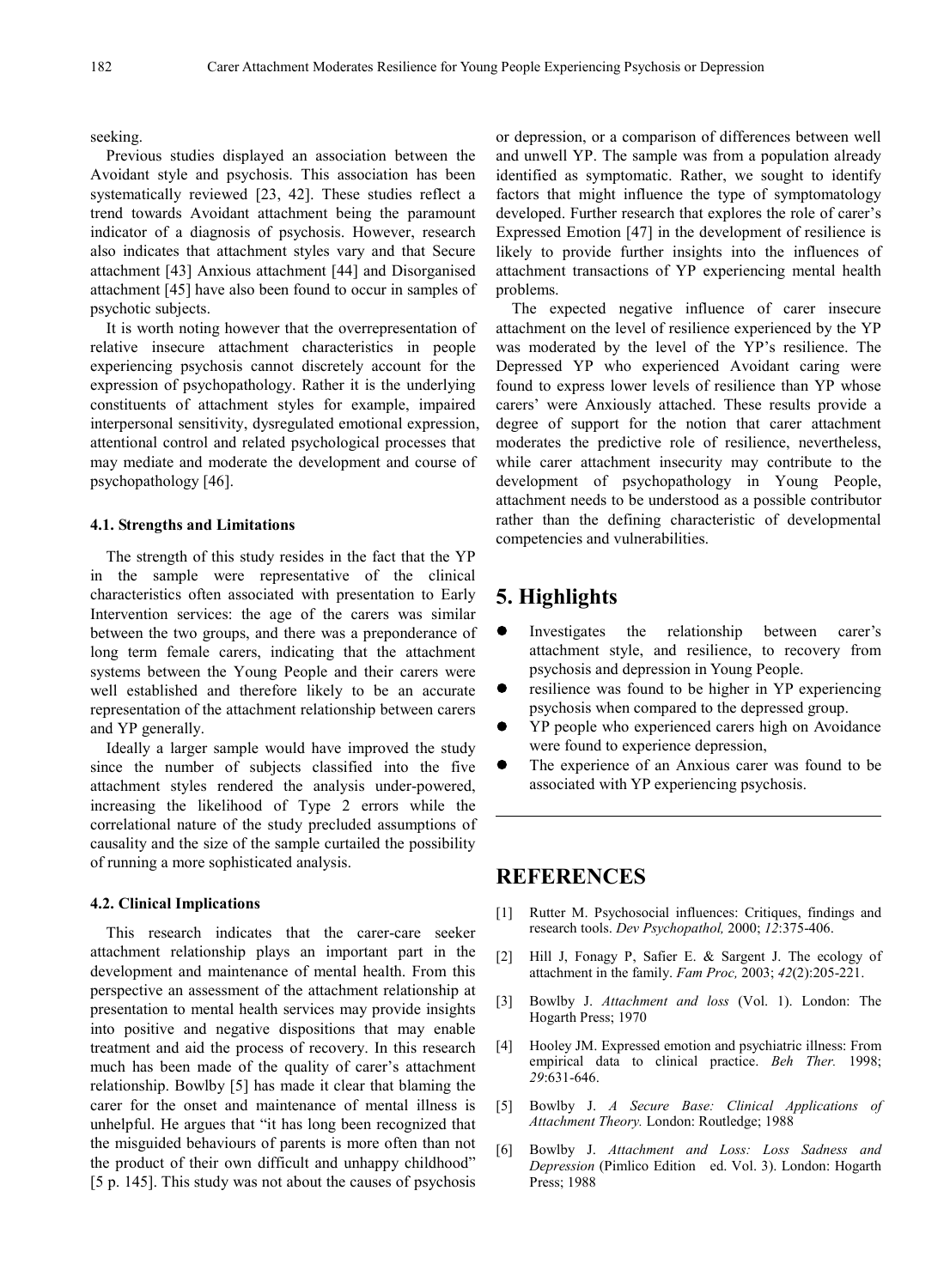seeking.

Previous studies displayed an association between the Avoidant style and psychosis. This association has been systematically reviewed [23, 42]. These studies reflect a trend towards Avoidant attachment being the paramount indicator of a diagnosis of psychosis. However, research also indicates that attachment styles vary and that Secure attachment [43] Anxious attachment [44] and Disorganised attachment [45] have also been found to occur in samples of psychotic subjects.

It is worth noting however that the overrepresentation of relative insecure attachment characteristics in people experiencing psychosis cannot discretely account for the expression of psychopathology. Rather it is the underlying constituents of attachment styles for example, impaired interpersonal sensitivity, dysregulated emotional expression, attentional control and related psychological processes that may mediate and moderate the development and course of psychopathology [46].

## **4.1. Strengths and Limitations**

The strength of this study resides in the fact that the YP in the sample were representative of the clinical characteristics often associated with presentation to Early Intervention services: the age of the carers was similar between the two groups, and there was a preponderance of long term female carers, indicating that the attachment systems between the Young People and their carers were well established and therefore likely to be an accurate representation of the attachment relationship between carers and YP generally.

Ideally a larger sample would have improved the study since the number of subjects classified into the five attachment styles rendered the analysis under-powered, increasing the likelihood of Type 2 errors while the correlational nature of the study precluded assumptions of causality and the size of the sample curtailed the possibility of running a more sophisticated analysis.

#### **4.2. Clinical Implications**

This research indicates that the carer-care seeker attachment relationship plays an important part in the development and maintenance of mental health. From this perspective an assessment of the attachment relationship at presentation to mental health services may provide insights into positive and negative dispositions that may enable treatment and aid the process of recovery. In this research much has been made of the quality of carer's attachment relationship. Bowlby [5] has made it clear that blaming the carer for the onset and maintenance of mental illness is unhelpful. He argues that "it has long been recognized that the misguided behaviours of parents is more often than not the product of their own difficult and unhappy childhood" [5 p. 145]. This study was not about the causes of psychosis

or depression, or a comparison of differences between well and unwell YP. The sample was from a population already identified as symptomatic. Rather, we sought to identify factors that might influence the type of symptomatology developed. Further research that explores the role of carer's Expressed Emotion [47] in the development of resilience is likely to provide further insights into the influences of attachment transactions of YP experiencing mental health problems.

The expected negative influence of carer insecure attachment on the level of resilience experienced by the YP was moderated by the level of the YP's resilience. The Depressed YP who experienced Avoidant caring were found to express lower levels of resilience than YP whose carers' were Anxiously attached. These results provide a degree of support for the notion that carer attachment moderates the predictive role of resilience, nevertheless, while carer attachment insecurity may contribute to the development of psychopathology in Young People, attachment needs to be understood as a possible contributor rather than the defining characteristic of developmental competencies and vulnerabilities.

# **5. Highlights**

- Investigates the relationship between carer's attachment style, and resilience, to recovery from psychosis and depression in Young People.
- resilience was found to be higher in YP experiencing psychosis when compared to the depressed group.
- YP people who experienced carers high on Avoidance were found to experience depression,
- The experience of an Anxious carer was found to be associated with YP experiencing psychosis.

## **REFERENCES**

- [1] Rutter M. Psychosocial influences: Critiques, findings and research tools. *Dev Psychopathol,* 2000; *12*:375-406.
- [2] Hill J, Fonagy P, Safier E. & Sargent J. The ecology of attachment in the family. *Fam Proc,* 2003; *42*(2):205-221.
- [3] Bowlby J. *Attachment and loss* (Vol. 1). London: The Hogarth Press; 1970
- [4] Hooley JM. Expressed emotion and psychiatric illness: From empirical data to clinical practice. *Beh Ther.* 1998; *29*:631-646.
- [5] Bowlby J. *A Secure Base: Clinical Applications of Attachment Theory.* London: Routledge; 1988
- [6] Bowlby J. *Attachment and Loss: Loss Sadness and Depression* (Pimlico Edition ed. Vol. 3). London: Hogarth Press; 1988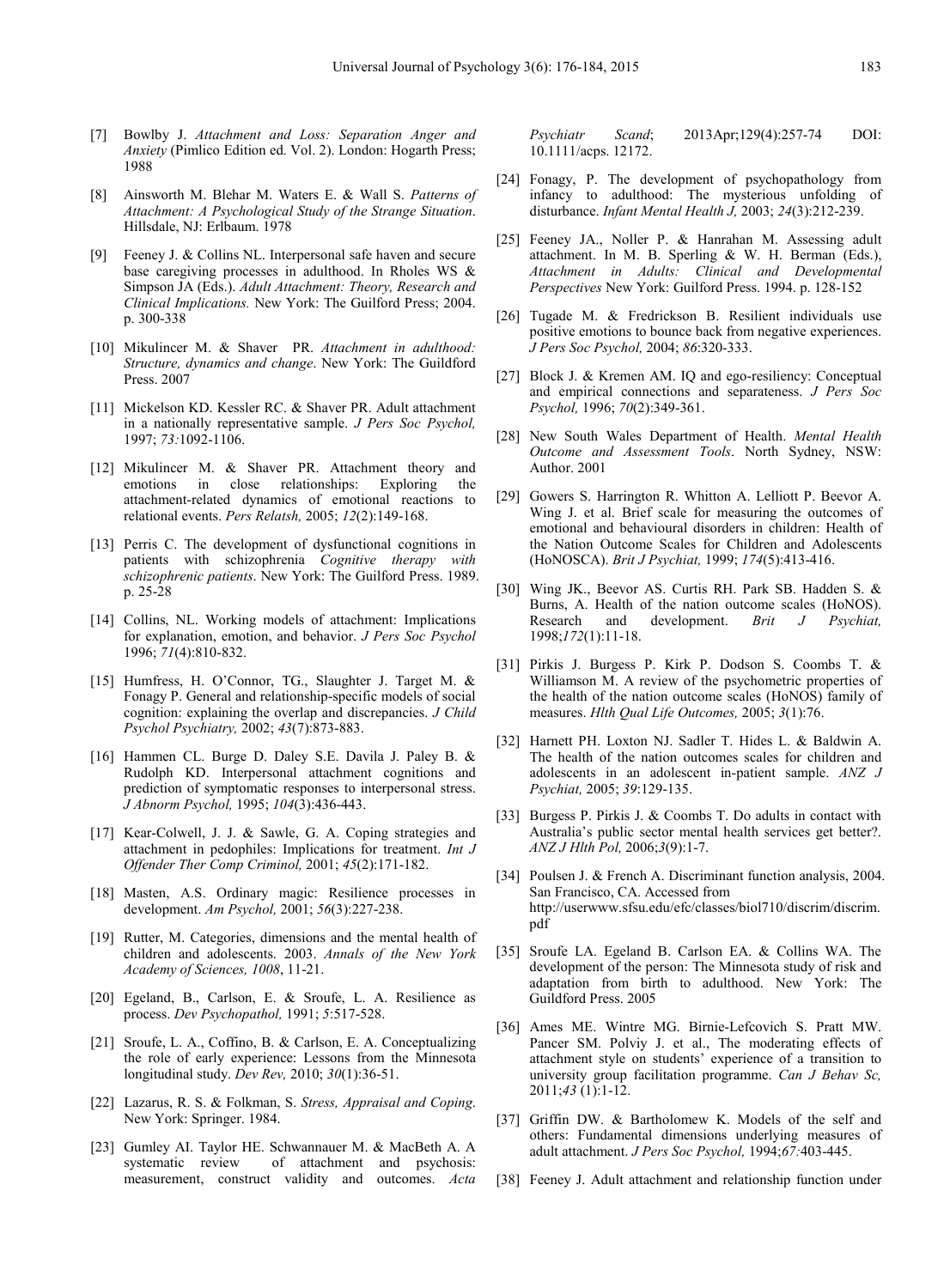- [7] Bowlby J. *Attachment and Loss: Separation Anger and Anxiety* (Pimlico Edition ed. Vol. 2). London: Hogarth Press; 1988
- [8] Ainsworth M. Blehar M. Waters E. & Wall S. *Patterns of Attachment: A Psychological Study of the Strange Situation*. Hillsdale, NJ: Erlbaum. 1978
- [9] Feeney J. & Collins NL. Interpersonal safe haven and secure base caregiving processes in adulthood. In Rholes WS & Simpson JA (Eds.). *Adult Attachment: Theory, Research and Clinical Implications.* New York: The Guilford Press; 2004. p. 300-338
- [10] Mikulincer M. & Shaver PR. *Attachment in adulthood: Structure, dynamics and change*. New York: The Guildford Press. 2007
- [11] Mickelson KD. Kessler RC. & Shaver PR. Adult attachment in a nationally representative sample. *J Pers Soc Psychol,*  1997; *73:*1092-1106.
- [12] Mikulincer M. & Shaver PR. Attachment theory and emotions in close relationships: Exploring the attachment-related dynamics of emotional reactions to relational events. *Pers Relatsh,* 2005; *12*(2):149-168.
- [13] Perris C. The development of dysfunctional cognitions in patients with schizophrenia *Cognitive therapy with schizophrenic patients*. New York: The Guilford Press. 1989. p. 25-28
- [14] Collins, NL. Working models of attachment: Implications for explanation, emotion, and behavior. *J Pers Soc Psychol*  1996; *71*(4):810-832.
- [15] Humfress, H. O'Connor, TG., Slaughter J. Target M. & Fonagy P. General and relationship-specific models of social cognition: explaining the overlap and discrepancies. *J Child Psychol Psychiatry,* 2002; *43*(7):873-883.
- [16] Hammen CL. Burge D. Daley S.E. Davila J. Paley B. & Rudolph KD. Interpersonal attachment cognitions and prediction of symptomatic responses to interpersonal stress. *J Abnorm Psychol,* 1995; *104*(3):436-443.
- [17] Kear-Colwell, J. J. & Sawle, G. A. Coping strategies and attachment in pedophiles: Implications for treatment. *Int J Offender Ther Comp Criminol,* 2001; *45*(2):171-182.
- [18] Masten, A.S. Ordinary magic: Resilience processes in development. *Am Psychol,* 2001; *56*(3):227-238.
- [19] Rutter, M. Categories, dimensions and the mental health of children and adolescents. 2003. *Annals of the New York Academy of Sciences, 1008*, 11-21.
- [20] Egeland, B., Carlson, E. & Sroufe, L. A. Resilience as process. *Dev Psychopathol,* 1991; *5*:517-528.
- [21] Sroufe, L. A., Coffino, B. & Carlson, E. A. Conceptualizing the role of early experience: Lessons from the Minnesota longitudinal study. *Dev Rev,* 2010; *30*(1):36-51.
- [22] Lazarus, R. S. & Folkman, S. *Stress, Appraisal and Coping*. New York: Springer. 1984.
- [23] Gumley AI. Taylor HE. Schwannauer M. & MacBeth A. A systematic review of attachment and psychosis: measurement, construct validity and outcomes. *Acta*

*Psychiatr Scand*; 2013Apr;129(4):257-74 DOI: 10.1111/acps. 12172.

- [24] Fonagy, P. The development of psychopathology from infancy to adulthood: The mysterious unfolding of disturbance. *Infant Mental Health J,* 2003; *24*(3):212-239.
- [25] Feeney JA., Noller P. & Hanrahan M. Assessing adult attachment. In M. B. Sperling & W. H. Berman (Eds.), *Attachment in Adults: Clinical and Developmental Perspectives* New York: Guilford Press. 1994. p. 128-152
- [26] Tugade M. & Fredrickson B. Resilient individuals use positive emotions to bounce back from negative experiences. *J Pers Soc Psychol,* 2004; *86*:320-333.
- [27] Block J. & Kremen AM. IQ and ego-resiliency: Conceptual and empirical connections and separateness. *J Pers Soc Psychol,* 1996; *70*(2):349-361.
- [28] New South Wales Department of Health. *Mental Health Outcome and Assessment Tools*. North Sydney, NSW: Author. 2001
- [29] Gowers S. Harrington R. Whitton A. Lelliott P. Beevor A. Wing J. et al. Brief scale for measuring the outcomes of emotional and behavioural disorders in children: Health of the Nation Outcome Scales for Children and Adolescents (HoNOSCA). *Brit J Psychiat,* 1999; *174*(5):413-416.
- [30] Wing JK., Beevor AS. Curtis RH. Park SB. Hadden S. & Burns, A. Health of the nation outcome scales (HoNOS). Research and development. *Brit J Psychiat,*  1998;*172*(1):11-18.
- [31] Pirkis J. Burgess P. Kirk P. Dodson S. Coombs T. & Williamson M. A review of the psychometric properties of the health of the nation outcome scales (HoNOS) family of measures. *Hlth Qual Life Outcomes,* 2005; *3*(1):76.
- [32] Harnett PH. Loxton NJ. Sadler T. Hides L. & Baldwin A. The health of the nation outcomes scales for children and adolescents in an adolescent in-patient sample. *ANZ J Psychiat,* 2005; *39*:129-135.
- [33] Burgess P. Pirkis J. & Coombs T. Do adults in contact with Australia's public sector mental health services get better?. *ANZ J Hlth Pol,* 2006;*3*(9):1-7.
- [34] Poulsen J. & French A. Discriminant function analysis, 2004. San Francisco, CA. Accessed from http://userwww.sfsu.edu/efc/classes/biol710/discrim/discrim. pdf
- [35] Sroufe LA. Egeland B. Carlson EA. & Collins WA. The development of the person: The Minnesota study of risk and adaptation from birth to adulthood. New York: The Guildford Press. 2005
- [36] Ames ME. Wintre MG. Birnie-Lefcovich S. Pratt MW. Pancer SM. Polviy J. et al., The moderating effects of attachment style on students' experience of a transition to university group facilitation programme. *Can J Behav Sc,*  2011;*43* (1):1-12.
- [37] Griffin DW. & Bartholomew K. Models of the self and others: Fundamental dimensions underlying measures of adult attachment. *J Pers Soc Psychol,* 1994;*67:*403-445.
- [38] Feeney J. Adult attachment and relationship function under